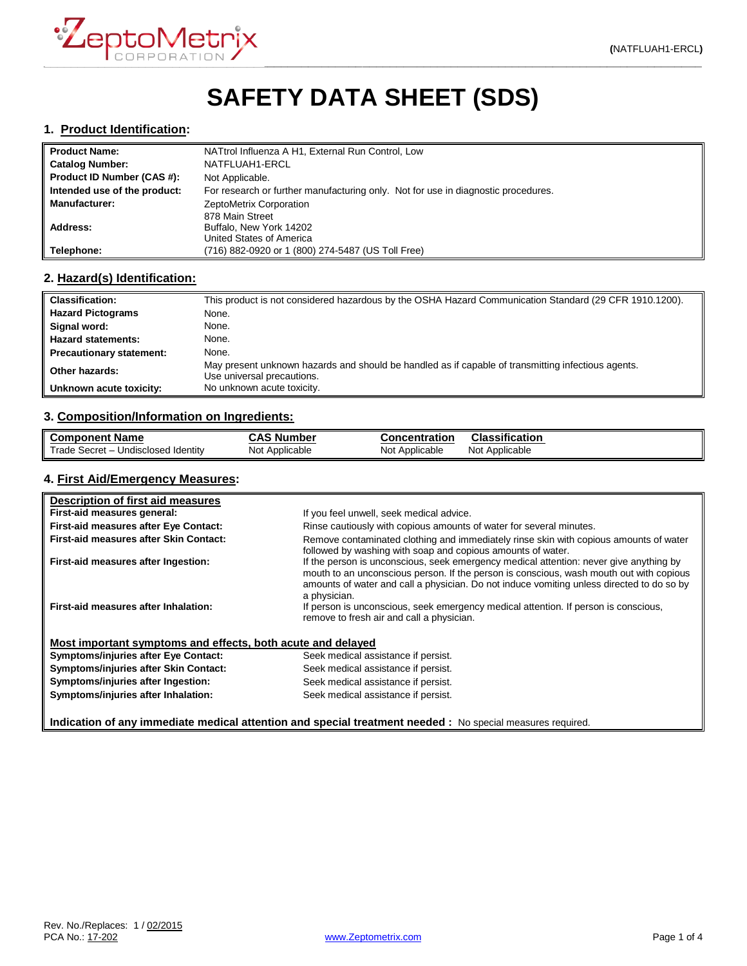

# **SAFETY DATA SHEET (SDS)**

#### **1. Product Identification:**

| <b>Product Name:</b>         | NATtrol Influenza A H1, External Run Control, Low                                 |
|------------------------------|-----------------------------------------------------------------------------------|
| <b>Catalog Number:</b>       | NATFLUAH1-ERCL                                                                    |
| Product ID Number (CAS #):   | Not Applicable.                                                                   |
| Intended use of the product: | For research or further manufacturing only. Not for use in diagnostic procedures. |
| <b>Manufacturer:</b>         | ZeptoMetrix Corporation                                                           |
|                              | 878 Main Street                                                                   |
| Address:                     | Buffalo, New York 14202                                                           |
|                              | United States of America                                                          |
| Telephone:                   | (716) 882-0920 or 1 (800) 274-5487 (US Toll Free)                                 |

## **2. Hazard(s) Identification:**

| <b>Classification:</b>          | This product is not considered hazardous by the OSHA Hazard Communication Standard (29 CFR 1910.1200).                           |
|---------------------------------|----------------------------------------------------------------------------------------------------------------------------------|
| <b>Hazard Pictograms</b>        | None.                                                                                                                            |
| Signal word:                    | None.                                                                                                                            |
| <b>Hazard statements:</b>       | None.                                                                                                                            |
| <b>Precautionary statement:</b> | None.                                                                                                                            |
| Other hazards:                  | May present unknown hazards and should be handled as if capable of transmitting infectious agents.<br>Use universal precautions. |
| Unknown acute toxicity:         | No unknown acute toxicity.                                                                                                       |

## **3. Composition/Information on Ingredients:**

| <b>Component Name</b>               | <b>CAS Number</b> | Concentration  | <b>Classification</b> |
|-------------------------------------|-------------------|----------------|-----------------------|
| Trade Secret - Undisclosed Identity | Not Applicable    | Not Applicable | Not Applicable        |

# **4. First Aid/Emergency Measures:**

| Description of first aid measures                           |                                                                                                                                                                                                                                                                                                |
|-------------------------------------------------------------|------------------------------------------------------------------------------------------------------------------------------------------------------------------------------------------------------------------------------------------------------------------------------------------------|
| First-aid measures general:                                 | If you feel unwell, seek medical advice.                                                                                                                                                                                                                                                       |
| First-aid measures after Eye Contact:                       | Rinse cautiously with copious amounts of water for several minutes.                                                                                                                                                                                                                            |
| First-aid measures after Skin Contact:                      | Remove contaminated clothing and immediately rinse skin with copious amounts of water<br>followed by washing with soap and copious amounts of water.                                                                                                                                           |
| First-aid measures after Ingestion:                         | If the person is unconscious, seek emergency medical attention: never give anything by<br>mouth to an unconscious person. If the person is conscious, wash mouth out with copious<br>amounts of water and call a physician. Do not induce vomiting unless directed to do so by<br>a physician. |
| First-aid measures after Inhalation:                        | If person is unconscious, seek emergency medical attention. If person is conscious,<br>remove to fresh air and call a physician.                                                                                                                                                               |
| Most important symptoms and effects, both acute and delayed |                                                                                                                                                                                                                                                                                                |
| <b>Symptoms/injuries after Eye Contact:</b>                 | Seek medical assistance if persist.                                                                                                                                                                                                                                                            |
| Symptoms/injuries after Skin Contact:                       | Seek medical assistance if persist.                                                                                                                                                                                                                                                            |
| Symptoms/injuries after Ingestion:                          | Seek medical assistance if persist.                                                                                                                                                                                                                                                            |
| Symptoms/injuries after Inhalation:                         | Seek medical assistance if persist.                                                                                                                                                                                                                                                            |

**Indication of any immediate medical attention and special treatment needed :** No special measures required.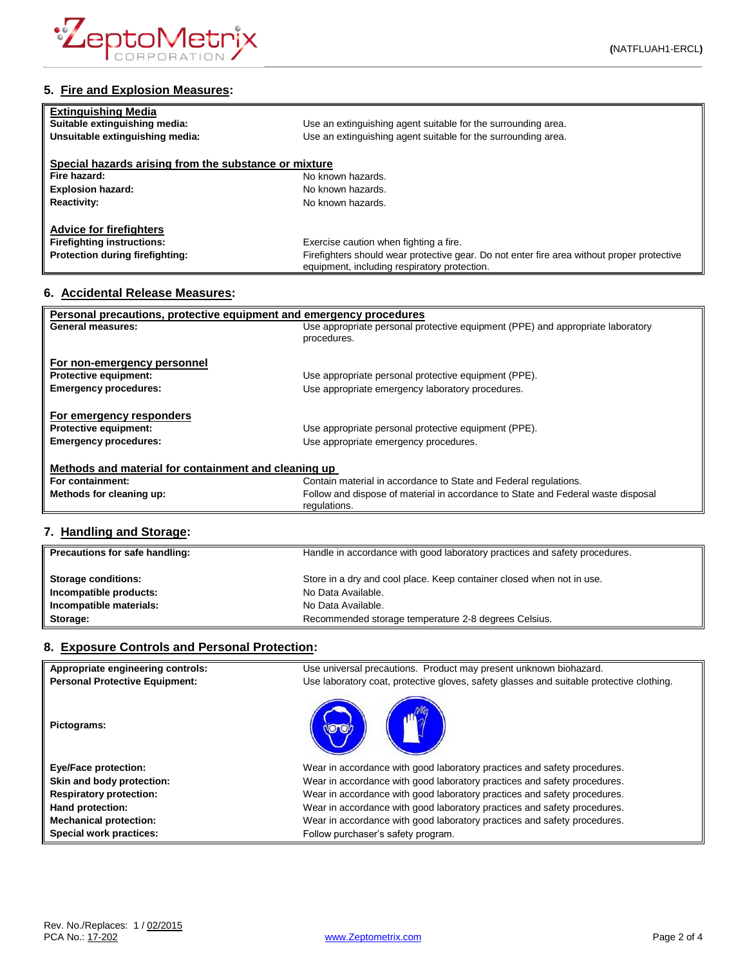

# **5. Fire and Explosion Measures:**

| <b>Extinguishing Media</b><br>Suitable extinguishing media: | Use an extinguishing agent suitable for the surrounding area.                                                                              |
|-------------------------------------------------------------|--------------------------------------------------------------------------------------------------------------------------------------------|
| Unsuitable extinguishing media:                             | Use an extinguishing agent suitable for the surrounding area.                                                                              |
| Special hazards arising from the substance or mixture       |                                                                                                                                            |
| Fire hazard:                                                | No known hazards.                                                                                                                          |
| <b>Explosion hazard:</b>                                    | No known hazards.                                                                                                                          |
| <b>Reactivity:</b>                                          | No known hazards.                                                                                                                          |
| <b>Advice for firefighters</b>                              |                                                                                                                                            |
| <b>Firefighting instructions:</b>                           | Exercise caution when fighting a fire.                                                                                                     |
| Protection during firefighting:                             | Firefighters should wear protective gear. Do not enter fire area without proper protective<br>equipment, including respiratory protection. |

#### **6. Accidental Release Measures:**

| Personal precautions, protective equipment and emergency procedures |                                                                                  |  |
|---------------------------------------------------------------------|----------------------------------------------------------------------------------|--|
| General measures:                                                   | Use appropriate personal protective equipment (PPE) and appropriate laboratory   |  |
|                                                                     | procedures.                                                                      |  |
|                                                                     |                                                                                  |  |
| For non-emergency personnel                                         |                                                                                  |  |
| <b>Protective equipment:</b>                                        | Use appropriate personal protective equipment (PPE).                             |  |
| <b>Emergency procedures:</b>                                        | Use appropriate emergency laboratory procedures.                                 |  |
|                                                                     |                                                                                  |  |
| For emergency responders                                            |                                                                                  |  |
| <b>Protective equipment:</b>                                        | Use appropriate personal protective equipment (PPE).                             |  |
| <b>Emergency procedures:</b>                                        | Use appropriate emergency procedures.                                            |  |
|                                                                     |                                                                                  |  |
| Methods and material for containment and cleaning up                |                                                                                  |  |
| For containment:                                                    | Contain material in accordance to State and Federal regulations.                 |  |
| Methods for cleaning up:                                            | Follow and dispose of material in accordance to State and Federal waste disposal |  |
|                                                                     | regulations.                                                                     |  |
|                                                                     |                                                                                  |  |

## **7. Handling and Storage:**

| Precautions for safe handling: | Handle in accordance with good laboratory practices and safety procedures. |
|--------------------------------|----------------------------------------------------------------------------|
| <b>Storage conditions:</b>     | Store in a dry and cool place. Keep container closed when not in use.      |
| Incompatible products:         | No Data Available.                                                         |
| Incompatible materials:        | No Data Available.                                                         |
| Storage:                       | Recommended storage temperature 2-8 degrees Celsius.                       |

# **8. Exposure Controls and Personal Protection:**

| Appropriate engineering controls:     | Use universal precautions. Product may present unknown biohazard.                        |
|---------------------------------------|------------------------------------------------------------------------------------------|
| <b>Personal Protective Equipment:</b> | Use laboratory coat, protective gloves, safety glasses and suitable protective clothing. |
| Pictograms:                           |                                                                                          |
| <b>Eye/Face protection:</b>           | Wear in accordance with good laboratory practices and safety procedures.                 |
| Skin and body protection:             | Wear in accordance with good laboratory practices and safety procedures.                 |
| <b>Respiratory protection:</b>        | Wear in accordance with good laboratory practices and safety procedures.                 |
| Hand protection:                      | Wear in accordance with good laboratory practices and safety procedures.                 |
| <b>Mechanical protection:</b>         | Wear in accordance with good laboratory practices and safety procedures.                 |
| Special work practices:               | Follow purchaser's safety program.                                                       |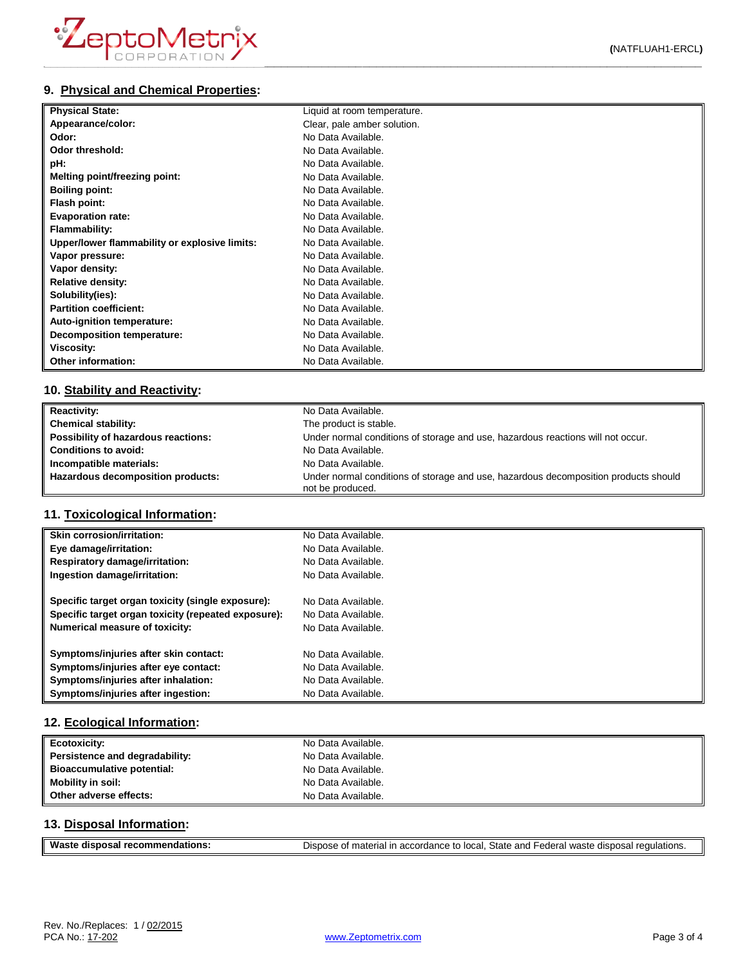| <b>Physical State:</b>                        | Liquid at room temperature. |
|-----------------------------------------------|-----------------------------|
| Appearance/color:                             | Clear, pale amber solution. |
| Odor:                                         | No Data Available.          |
| Odor threshold:                               | No Data Available.          |
| pH:                                           | No Data Available.          |
| Melting point/freezing point:                 | No Data Available.          |
| <b>Boiling point:</b>                         | No Data Available.          |
| Flash point:                                  | No Data Available.          |
| <b>Evaporation rate:</b>                      | No Data Available.          |
| <b>Flammability:</b>                          | No Data Available.          |
| Upper/lower flammability or explosive limits: | No Data Available.          |
| Vapor pressure:                               | No Data Available.          |
| Vapor density:                                | No Data Available.          |
| <b>Relative density:</b>                      | No Data Available.          |
| Solubility(ies):                              | No Data Available.          |
| <b>Partition coefficient:</b>                 | No Data Available.          |
| Auto-ignition temperature:                    | No Data Available.          |
| <b>Decomposition temperature:</b>             | No Data Available.          |
| Viscosity:                                    | No Data Available.          |
| Other information:                            | No Data Available.          |

## **10. Stability and Reactivity:**

| <b>Reactivity:</b>                  | No Data Available.                                                                                      |
|-------------------------------------|---------------------------------------------------------------------------------------------------------|
| <b>Chemical stability:</b>          | The product is stable.                                                                                  |
| Possibility of hazardous reactions: | Under normal conditions of storage and use, hazardous reactions will not occur.                         |
| <b>Conditions to avoid:</b>         | No Data Available.                                                                                      |
| Incompatible materials:             | No Data Available.                                                                                      |
| Hazardous decomposition products:   | Under normal conditions of storage and use, hazardous decomposition products should<br>not be produced. |

## **11. Toxicological Information:**

| <b>Skin corrosion/irritation:</b>                   | No Data Available. |
|-----------------------------------------------------|--------------------|
| Eye damage/irritation:                              | No Data Available. |
| Respiratory damage/irritation:                      | No Data Available. |
| Ingestion damage/irritation:                        | No Data Available. |
| Specific target organ toxicity (single exposure):   | No Data Available. |
| Specific target organ toxicity (repeated exposure): | No Data Available. |
| Numerical measure of toxicity:                      | No Data Available. |
| Symptoms/injuries after skin contact:               | No Data Available. |
| Symptoms/injuries after eye contact:                | No Data Available. |
| Symptoms/injuries after inhalation:                 | No Data Available. |
| Symptoms/injuries after ingestion:                  | No Data Available. |

## **12. Ecological Information:**

| Ecotoxicity:                   | No Data Available. |
|--------------------------------|--------------------|
| Persistence and degradability: | No Data Available. |
| Bioaccumulative potential:     | No Data Available. |
| <b>Mobility in soil:</b>       | No Data Available. |
| Other adverse effects:         | No Data Available. |

## **13. Disposal Information:**

| Waste disposal recommendations: | Dispose of material in accordance to local, State and Federal waste disposal regulations. |
|---------------------------------|-------------------------------------------------------------------------------------------|